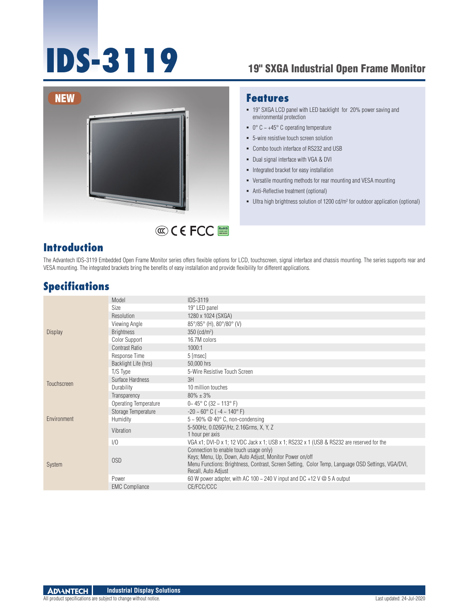# **IDS-3119** 19" SXGA Industrial Open Frame Monitor



#### **Features**

- 19" SXGA LCD panel with LED backlight for 20% power saving and environmental protection
- $\bullet$  0° C ~ +45° C operating temperature
- 5-wire resistive touch screen solution
- Combo touch interface of RS232 and USB
- Dual signal interface with VGA & DVI
- **Integrated bracket for easy installation**
- Versatile mounting methods for rear mounting and VESA mounting
- Anti-Reflective treatment (optional)
- Ultra high brightness solution of 1200 cd/m<sup>2</sup> for outdoor application (optional)

#### **Introduction**

The Advantech IDS-3119 Embedded Open Frame Monitor series offers flexible options for LCD, touchscreen, signal interface and chassis mounting. The series supports rear and VESA mounting. The integrated brackets bring the benefits of easy installation and provide flexibility for different applications.

RoHS **COMPLIANT 2002/95/EC**

#### **Specifications**

| <b>Display</b> | Model                 | <b>IDS-3119</b>                                                                                                                                                                                                               |
|----------------|-----------------------|-------------------------------------------------------------------------------------------------------------------------------------------------------------------------------------------------------------------------------|
|                | Size                  | 19" LED panel                                                                                                                                                                                                                 |
|                | Resolution            | 1280 x 1024 (SXGA)                                                                                                                                                                                                            |
|                | Viewing Angle         | $85^{\circ}/85^{\circ}$ (H), $80^{\circ}/80^{\circ}$ (V)                                                                                                                                                                      |
|                | <b>Brightness</b>     | $350 \, (\text{cd/m}^2)$                                                                                                                                                                                                      |
|                | <b>Color Support</b>  | 16.7M colors                                                                                                                                                                                                                  |
|                | <b>Contrast Ratio</b> | 1000:1                                                                                                                                                                                                                        |
|                | Response Time         | 5 [msec]                                                                                                                                                                                                                      |
|                | Backlight Life (hrs)  | 50,000 hrs                                                                                                                                                                                                                    |
| Touchscreen    | T/S Type              | 5-Wire Resistive Touch Screen                                                                                                                                                                                                 |
|                | Surface Hardness      | 3H                                                                                                                                                                                                                            |
|                | Durability            | 10 million touches                                                                                                                                                                                                            |
|                | Transparency          | $80\% + 3\%$                                                                                                                                                                                                                  |
|                | Operating Temperature | $0 - 45^{\circ}$ C (32 ~ 113° F)                                                                                                                                                                                              |
|                | Storage Temperature   | $-20 \sim 60^{\circ}$ C ( $-4 \sim 140^{\circ}$ F)                                                                                                                                                                            |
| Environment    | Humidity              | $5 \sim 90\%$ @ 40° C, non-condensing                                                                                                                                                                                         |
|                | Vibration             | 5-500Hz, 0.026G <sup>2</sup> /Hz, 2.16Grms, X, Y, Z<br>1 hour per axis                                                                                                                                                        |
| System         | 1/0                   | VGA x1; DVI-D x 1; 12 VDC Jack x 1; USB x 1; RS232 x 1 (USB & RS232 are reserved for the                                                                                                                                      |
|                | 0SD                   | Connection to enable touch usage only)<br>Keys; Menu, Up, Down, Auto Adjust, Monitor Power on/off<br>Menu Functions: Brightness, Contrast, Screen Setting, Color Temp, Language OSD Settings, VGA/DVI,<br>Recall, Auto Adjust |
|                | Power                 | 60 W power adapter, with AC 100 $\sim$ 240 V input and DC +12 V $\omega$ 5 A output                                                                                                                                           |
|                | <b>EMC Compliance</b> | CE/FCC/CCC                                                                                                                                                                                                                    |